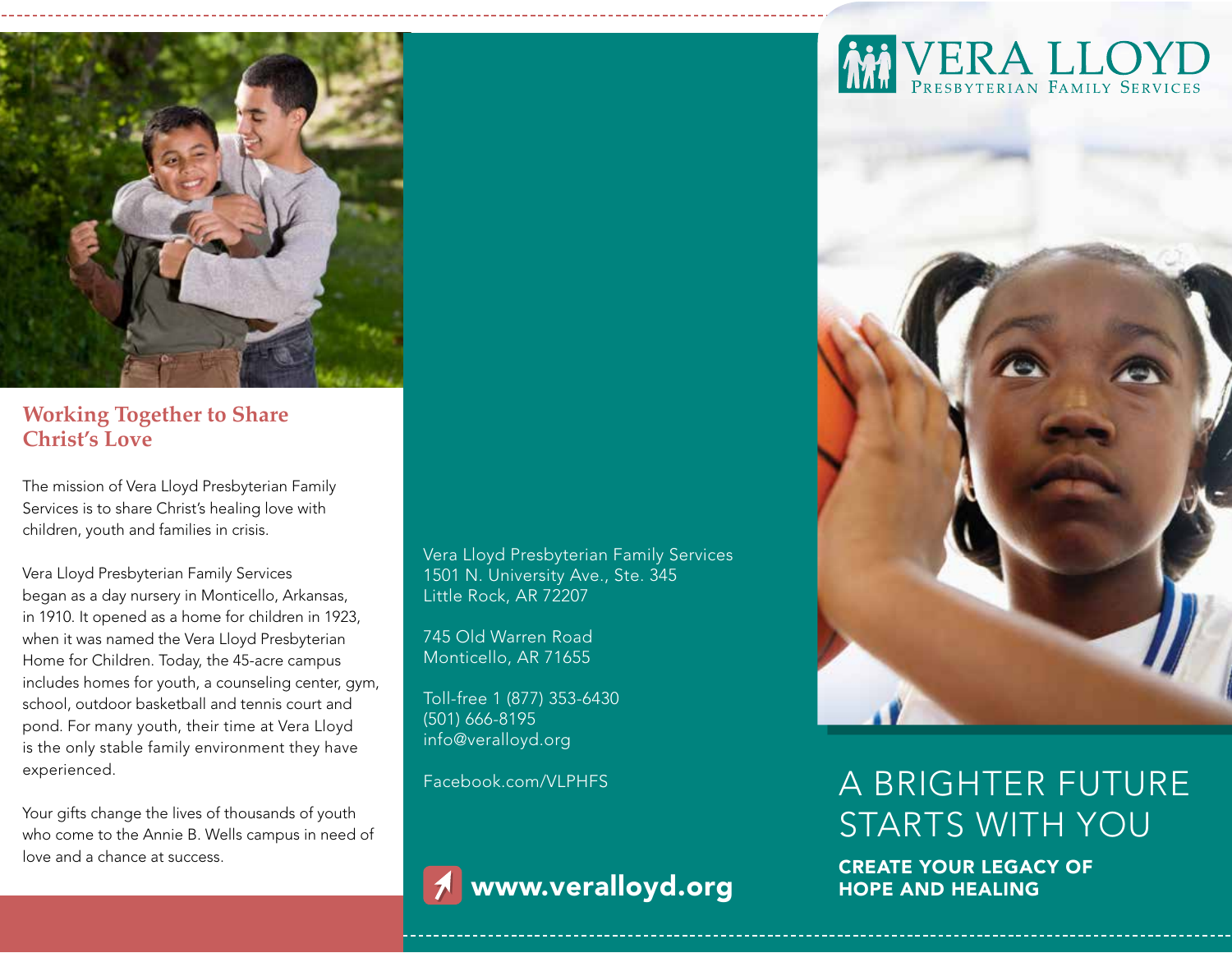

### **Working Together to Share Christ's Love**

The mission of Vera Lloyd Presbyterian Family Services is to share Christ's healing love with children, youth and families in crisis.

Vera Lloyd Presbyterian Family Services began as a day nursery in Monticello, Arkansas, in 1910. It opened as a home for children in 1923, when it was named the Vera Lloyd Presbyterian Home for Children. Today, the 45-acre campus includes homes for youth, a counseling center, gym, school, outdoor basketball and tennis court and pond. For many youth, their time at Vera Lloyd is the only stable family environment they have experienced.

Your gifts change the lives of thousands of youth who come to the Annie B. Wells campus in need of love and a chance at success.

Vera Lloyd Presbyterian Family Services 1501 N. University Ave., Ste. 345 Little Rock, AR 72207

745 Old Warren Road Monticello, AR 71655

Toll-free 1 (877) 353-6430 (501) 666-8195 info@veralloyd.org

Facebook.com/VLPHFS



www.veralloyd.org





# A BRIGHTER FUTURE STARTS WITH YOU

CREATE YOUR LEGACY OF HOPE AND HEALING